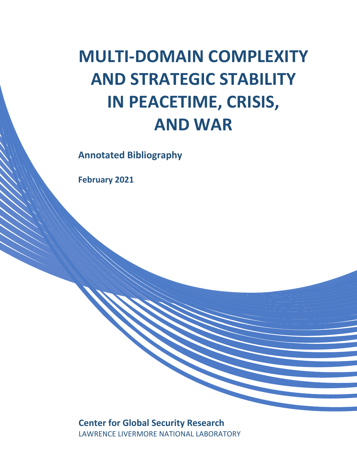# **MULTI-DOMAIN COMPLEXITY AND STRATEGIC STABILITY IN PEACETIME, CRISIS, AND WAR**

**Annotated Bibliography**

**February 2021**

# **Center for Global Security Research** LAWRENCE LIVERMORE NATIONAL LABORATORY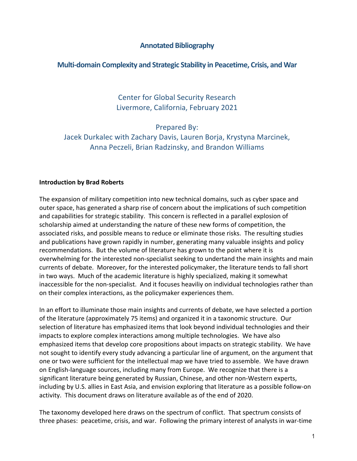# **Annotated Bibliography**

## **Multi-domain Complexity and Strategic Stability in Peacetime, Crisis, and War**

Center for Global Security Research Livermore, California, February 2021

Prepared By: Jacek Durkalec with Zachary Davis, Lauren Borja, Krystyna Marcinek, Anna Peczeli, Brian Radzinsky, and Brandon Williams

#### **Introduction by Brad Roberts**

The expansion of military competition into new technical domains, such as cyber space and outer space, has generated a sharp rise of concern about the implications of such competition and capabilities for strategic stability. This concern is reflected in a parallel explosion of scholarship aimed at understanding the nature of these new forms of competition, the associated risks, and possible means to reduce or eliminate those risks. The resulting studies and publications have grown rapidly in number, generating many valuable insights and policy recommendations. But the volume of literature has grown to the point where it is overwhelming for the interested non-specialist seeking to undertand the main insights and main currents of debate. Moreover, for the interested policymaker, the literature tends to fall short in two ways. Much of the academic literature is highly specialized, making it somewhat inaccessible for the non-specialist. And it focuses heaviliy on individual technologies rather than on their complex interactions, as the policymaker experiences them.

In an effort to illuminate those main insights and currents of debate, we have selected a portion of the literature (approximately 75 items) and organized it in a taxonomic structure. Our selection of literature has emphasized items that look beyond individual technologies and their impacts to explore complex interactions among multiple technologies. We have also emphasized items that develop core propositions about impacts on strategic stability. We have not sought to identify every study advancing a particular line of argument, on the argument that one or two were sufficient for the intellectual map we have tried to assemble. We have drawn on English-language sources, including many from Europe. We recognize that there is a significant literature being generated by Russian, Chinese, and other non-Western experts, including by U.S. allies in East Asia, and envision exploring that literature as a possible follow-on activity. This document draws on literature available as of the end of 2020.

The taxonomy developed here draws on the spectrum of conflict. That spectrum consists of three phases: peacetime, crisis, and war. Following the primary interest of analysts in war-time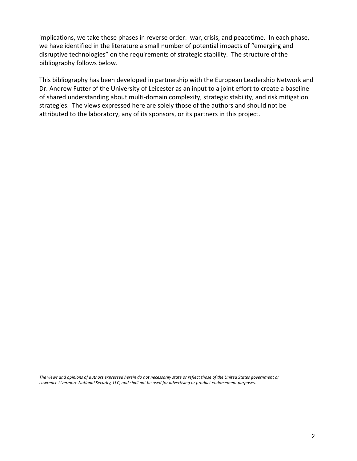implications, we take these phases in reverse order: war, crisis, and peacetime. In each phase, we have identified in the literature a small number of potential impacts of "emerging and disruptive technologies" on the requirements of strategic stability. The structure of the bibliography follows below.

This bibliography has been developed in partnership with the European Leadership Network and Dr. Andrew Futter of the University of Leicester as an input to a joint effort to create a baseline of shared understanding about multi-domain complexity, strategic stability, and risk mitigation strategies. The views expressed here are solely those of the authors and should not be attributed to the laboratory, any of its sponsors, or its partners in this project.

*The views and opinions of authors expressed herein do not necessarily state or reflect those of the United States government or Lawrence Livermore National Security, LLC, and shall not be used for advertising or product endorsement purposes.*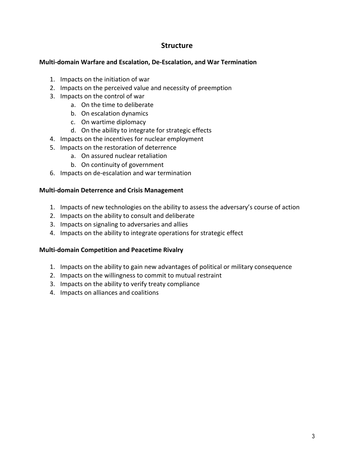# **Structure**

#### **Multi-domain Warfare and Escalation, De-Escalation, and War Termination**

- 1. Impacts on the initiation of war
- 2. Impacts on the perceived value and necessity of preemption
- 3. Impacts on the control of war
	- a. On the time to deliberate
	- b. On escalation dynamics
	- c. On wartime diplomacy
	- d. On the ability to integrate for strategic effects
- 4. Impacts on the incentives for nuclear employment
- 5. Impacts on the restoration of deterrence
	- a. On assured nuclear retaliation
	- b. On continuity of government
- 6. Impacts on de-escalation and war termination

#### **Multi-domain Deterrence and Crisis Management**

- 1. Impacts of new technologies on the ability to assess the adversary's course of action
- 2. Impacts on the ability to consult and deliberate
- 3. Impacts on signaling to adversaries and allies
- 4. Impacts on the ability to integrate operations for strategic effect

#### **Multi-domain Competition and Peacetime Rivalry**

- 1. Impacts on the ability to gain new advantages of political or military consequence
- 2. Impacts on the willingness to commit to mutual restraint
- 3. Impacts on the ability to verify treaty compliance
- 4. Impacts on alliances and coalitions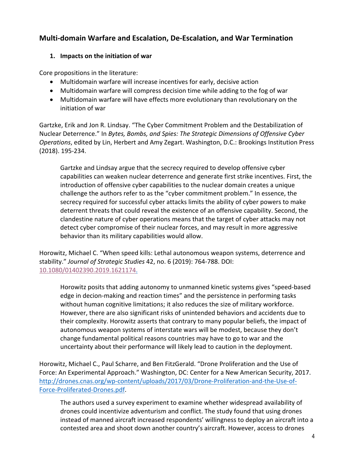# **Multi-domain Warfare and Escalation, De-Escalation, and War Termination**

# **1. Impacts on the initiation of war**

Core propositions in the literature:

- Multidomain warfare will increase incentives for early, decisive action
- Multidomain warfare will compress decision time while adding to the fog of war
- Multidomain warfare will have effects more evolutionary than revolutionary on the initiation of war

Gartzke, Erik and Jon R. Lindsay. "The Cyber Commitment Problem and the Destabilization of Nuclear Deterrence." In *Bytes, Bombs, and Spies: The Strategic Dimensions of Offensive Cyber Operations*, edited by Lin, Herbert and Amy Zegart. Washington, D.C.: Brookings Institution Press (2018). 195-234.

Gartzke and Lindsay argue that the secrecy required to develop offensive cyber capabilities can weaken nuclear deterrence and generate first strike incentives. First, the introduction of offensive cyber capabilities to the nuclear domain creates a unique challenge the authors refer to as the "cyber commitment problem." In essence, the secrecy required for successful cyber attacks limits the ability of cyber powers to make deterrent threats that could reveal the existence of an offensive capability. Second, the clandestine nature of cyber operations means that the target of cyber attacks may not detect cyber compromise of their nuclear forces, and may result in more aggressive behavior than its military capabilities would allow.

Horowitz, Michael C. "When speed kills: Lethal autonomous weapon systems, deterrence and stability." *Journal of Strategic Studies* 42, no. 6 (2019): 764-788. DOI: 10.1080/01402390.2019.1621174.

Horowitz posits that adding autonomy to unmanned kinetic systems gives "speed-based edge in decion-making and reaction times" and the persistence in performing tasks without human cognitive limitations; it also reduces the size of military workforce. However, there are also significant risks of unintended behaviors and accidents due to their complexity. Horowitz asserts that contrary to many popular beliefs, the impact of autonomous weapon systems of interstate wars will be modest, because they don't change fundamental political reasons countries may have to go to war and the uncertainty about their performance will likely lead to caution in the deployment.

Horowitz, Michael C., Paul Scharre, and Ben FitzGerald. "Drone Proliferation and the Use of Force: An Experimental Approach." Washington, DC: Center for a New American Security, 2017. http://drones.cnas.org/wp-content/uploads/2017/03/Drone-Proliferation-and-the-Use-of-Force-Proliferated-Drones.pdf.

The authors used a survey experiment to examine whether widespread availability of drones could incentivize adventurism and conflict. The study found that using drones instead of manned aircraft increased respondents' willingness to deploy an aircraft into a contested area and shoot down another country's aircraft. However, access to drones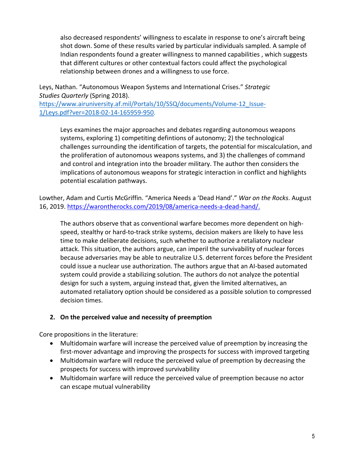also decreased respondents' willingness to escalate in response to one's aircraft being shot down. Some of these results varied by particular individuals sampled. A sample of Indian respondents found a greater willingness to manned capabilities , which suggests that different cultures or other contextual factors could affect the psychological relationship between drones and a willingness to use force.

Leys, Nathan. "Autonomous Weapon Systems and International Crises." *Strategic Studies Quarterly* (Spring 2018). https://www.airuniversity.af.mil/Portals/10/SSQ/documents/Volume-12 Issue-

1/Leys.pdf?ver=2018-02-14-165959-950.

Leys examines the major approaches and debates regarding autonomous weapons systems, exploring 1) competiting defintions of autonomy; 2) the technological challenges surrounding the identification of targets, the potential for miscalculation, and the proliferation of autonomous weapons systems, and 3) the challenges of command and control and integration into the broader military. The author then considers the implications of autonomous weapons for strategic interaction in conflict and highlights potential escalation pathways.

Lowther, Adam and Curtis McGriffin. "America Needs a 'Dead Hand'." *War on the Rocks*. August 16, 2019. https://warontherocks.com/2019/08/america-needs-a-dead-hand/.

The authors observe that as conventional warfare becomes more dependent on highspeed, stealthy or hard-to-track strike systems, decision makers are likely to have less time to make deliberate decisions, such whether to authorize a retaliatory nuclear attack. This situation, the authors argue, can imperil the survivability of nuclear forces because adversaries may be able to neutralize U.S. deterrent forces before the President could issue a nuclear use authorization. The authors argue that an AI-based automated system could provide a stabilizing solution. The authors do not analyze the potential design for such a system, arguing instead that, given the limited alternatives, an automated retaliatory option should be considered as a possible solution to compressed decision times.

# **2. On the perceived value and necessity of preemption**

Core propositions in the literature:

- Multidomain warfare will increase the perceived value of preemption by increasing the first-mover advantage and improving the prospects for success with improved targeting
- Multidomain warfare will reduce the perceived value of preemption by decreasing the prospects for success with improved survivability
- Multidomain warfare will reduce the perceived value of preemption because no actor can escape mutual vulnerability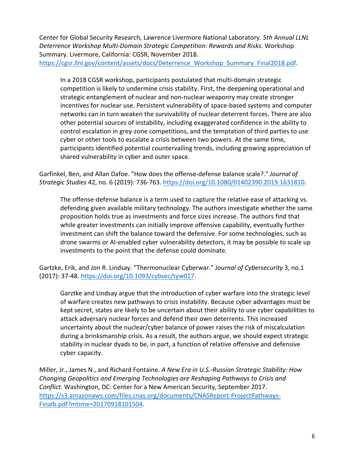Center for Global Security Research, Lawrence Livermore National Laboratory. *5th Annual LLNL Deterrence Workshop Multi-Domain Strategic Competition: Rewards and Risks.* Workshop Summary. Livermore, California: CGSR, November 2018. https://cgsr.llnl.gov/content/assets/docs/Deterrence\_Workshop\_Summary\_Final2018.pdf.

In a 2018 CGSR workshop, participants postulated that multi-domain strategic competition is likely to undermine crisis stability. First, the deepening operational and strategic entanglement of nuclear and non-nuclear weaponry may create stronger incentives for nuclear use. Persistent vulnerability of space-based systems and computer networks can in turn weaken the survivability of nuclear deterrent forces. There are also other potential sources of instability, including exaggerated confidence in the ability to control escalation in grey-zone competitions, and the temptation of third parties to use cyber or other tools to escalate a crisis between two powers. At the same time, participants identified potential countervailing trends, including growing appreciation of shared vulnerability in cyber and outer space.

Garfinkel, Ben, and Allan Dafoe. "How does the offense-defense balance scale?." *Journal of Strategic Studies* 42, no. 6 (2019): 736-763. https://doi.org/10.1080/01402390.2019.1631810.

The offense-defense balance is a term used to capture the relative ease of attacking vs. defending given available military technology. The authors investigate whether the same proposition holds true as investments and force sizes increase. The authors find that while greater investments can initially improve offensive capability, eventually further investment can shift the balance toward the defensive. For some technologies, such as drone swarms or AI-enabled cyber vulnerability detectors, it may be possible to scale up investments to the point that the defense could dominate.

Gartzke, Erik, and Jon R. Lindsay. "Thermonuclear Cyberwar." *Journal of Cybersecurity* 3, no.1 (2017): 37-48. https://doi.org/10.1093/cybsec/tyw017.

Garztke and Lindsay argue that the introduction of cyber warfare into the strategic level of warfare creates new pathways to crisis instability. Because cyber advantages must be kept secret, states are likely to be uncertain about their ability to use cyber capabilities to attack adversary nuclear forces and defend their own deterrents. This increased uncertainty about the nuclear/cyber balance of power raises the risk of miscalculation during a brinksmanship crisis. As a result, the authors argue, we should expect strategic stability in nuclear dyads to be, in part, a function of relative offensive and defensive cyber capacity.

Miller, Jr., James N., and Richard Fontaine. *A New Era in U.S.-Russian Strategic Stability: How Changing Geopolitics and Emerging Technologies are Reshaping Pathways to Crisis and Conflict.* Washington, DC: Center for a New American Security, September 2017. https://s3.amazonaws.com/files.cnas.org/documents/CNASReport-ProjectPathways-Finalb.pdf?mtime=20170918101504.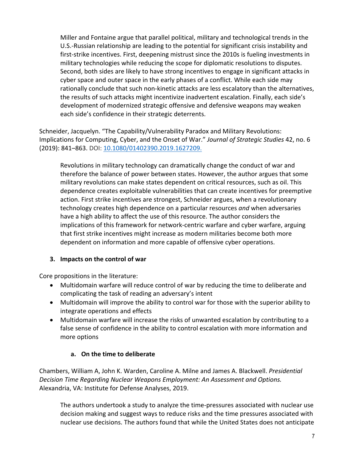Miller and Fontaine argue that parallel political, military and technological trends in the U.S.-Russian relationship are leading to the potential for significant crisis instability and first-strike incentives. First, deepening mistrust since the 2010s is fueling investments in military technologies while reducing the scope for diplomatic resolutions to disputes. Second, both sides are likely to have strong incentives to engage in significant attacks in cyber space and outer space in the early phases of a conflict. While each side may rationally conclude that such non-kinetic attacks are less escalatory than the alternatives, the results of such attacks might incentivize inadvertent escalation. Finally, each side's development of modernized strategic offensive and defensive weapons may weaken each side's confidence in their strategic deterrents.

Schneider, Jacquelyn. "The Capability/Vulnerability Paradox and Military Revolutions: Implications for Computing, Cyber, and the Onset of War." *Journal of Strategic Studies* 42, no. 6 (2019): 841–863. DOI: 10.1080/01402390.2019.1627209.

Revolutions in military technology can dramatically change the conduct of war and therefore the balance of power between states. However, the author argues that some military revolutions can make states dependent on critical resources, such as oil. This dependence creates exploitable vulnerabilities that can create incentives for preemptive action. First strike incentives are strongest, Schneider argues, when a revolutionary technology creates high dependence on a particular resources *and* when adversaries have a high ability to affect the use of this resource. The author considers the implications of this framework for network-centric warfare and cyber warfare, arguing that first strike incentives might increase as modern militaries become both more dependent on information and more capable of offensive cyber operations.

# **3. Impacts on the control of war**

Core propositions in the literature:

- Multidomain warfare will reduce control of war by reducing the time to deliberate and complicating the task of reading an adversary's intent
- Multidomain will improve the ability to control war for those with the superior ability to integrate operations and effects
- Multidomain warfare will increase the risks of unwanted escalation by contributing to a false sense of confidence in the ability to control escalation with more information and more options

# **a. On the time to deliberate**

Chambers, William A, John K. Warden, Caroline A. Milne and James A. Blackwell. *Presidential Decision Time Regarding Nuclear Weapons Employment: An Assessment and Options.*  Alexandria, VA: Institute for Defense Analyses, 2019.

The authors undertook a study to analyze the time-pressures associated with nuclear use decision making and suggest ways to reduce risks and the time pressures associated with nuclear use decisions. The authors found that while the United States does not anticipate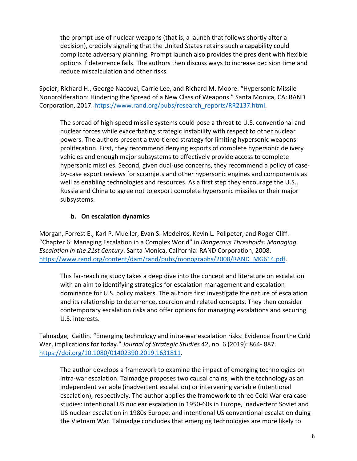the prompt use of nuclear weapons (that is, a launch that follows shortly after a decision), credibly signaling that the United States retains such a capability could complicate adversary planning. Prompt launch also provides the president with flexible options if deterrence fails. The authors then discuss ways to increase decision time and reduce miscalculation and other risks.

Speier, Richard H., George Nacouzi, Carrie Lee, and Richard M. Moore. "Hypersonic Missile Nonproliferation: Hindering the Spread of a New Class of Weapons." Santa Monica, CA: RAND Corporation, 2017. https://www.rand.org/pubs/research\_reports/RR2137.html.

The spread of high-speed missile systems could pose a threat to U.S. conventional and nuclear forces while exacerbating strategic instability with respect to other nuclear powers. The authors present a two-tiered strategy for limiting hypersonic weapons proliferation. First, they recommend denying exports of complete hypersonic delivery vehicles and enough major subsystems to effectively provide access to complete hypersonic missiles. Second, given dual-use concerns, they recommend a policy of caseby-case export reviews for scramjets and other hypersonic engines and components as well as enabling technologies and resources. As a first step they encourage the U.S., Russia and China to agree not to export complete hypersonic missiles or their major subsystems.

# **b. On escalation dynamics**

Morgan, Forrest E., Karl P. Mueller, Evan S. Medeiros, Kevin L. Pollpeter, and Roger Cliff. "Chapter 6: Managing Escalation in a Complex World" in *Dangerous Thresholds: Managing Escalation in the 21st Century*. Santa Monica, California: RAND Corporation, 2008. https://www.rand.org/content/dam/rand/pubs/monographs/2008/RAND\_MG614.pdf.

This far-reaching study takes a deep dive into the concept and literature on escalation with an aim to identifying strategies for escalation management and escalation dominance for U.S. policy makers. The authors first investigate the nature of escalation and its relationship to deterrence, coercion and related concepts. They then consider contemporary escalation risks and offer options for managing escalations and securing U.S. interests.

Talmadge, Caitlin. "Emerging technology and intra-war escalation risks: Evidence from the Cold War, implications for today." *Journal of Strategic Studies* 42, no. 6 (2019): 864- 887. https://doi.org/10.1080/01402390.2019.1631811.

The author develops a framework to examine the impact of emerging technologies on intra-war escalation. Talmadge proposes two causal chains, with the technology as an independent variable (inadvertent escalation) or intervening variable (intentional escalation), respectively. The author applies the framework to three Cold War era case studies: intentional US nuclear escalation in 1950-60s in Europe, inadvertent Soviet and US nuclear escalation in 1980s Europe, and intentional US conventional escalation duing the Vietnam War. Talmadge concludes that emerging technologies are more likely to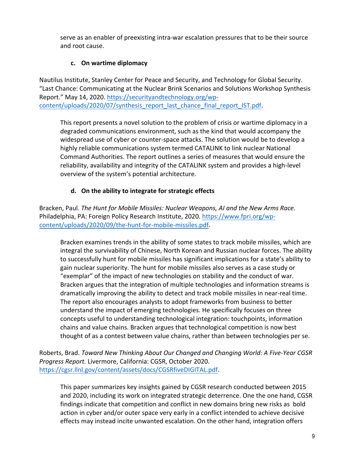serve as an enabler of preexisting intra-war escalation pressures that to be their source and root cause.

# **c. On wartime diplomacy**

Nautilus Institute, Stanley Center for Peace and Security, and Technology for Global Security. "Last Chance: Communicating at the Nuclear Brink Scenarios and Solutions Workshop Synthesis Report." May 14, 2020. https://securityandtechnology.org/wpcontent/uploads/2020/07/synthesis\_report\_last\_chance\_final\_report\_IST.pdf.

This report presents a novel solution to the problem of crisis or wartime diplomacy in a degraded communications environment, such as the kind that would accompany the widespread use of cyber or counter-space attacks. The solution would be to develop a highly reliable communications system termed CATALINK to link nuclear National Command Authorities. The report outlines a series of measures that would ensure the reliability, availability and integrity of the CATALINK system and provides a high-level overview of the system's potential architecture.

# **d. On the ability to integrate for strategic effects**

Bracken, Paul. *The Hunt for Mobile Missiles: Nuclear Weapons, AI and the New Arms Race.* Philadelphia, PA: Foreign Policy Research Institute, 2020. https://www.fpri.org/wpcontent/uploads/2020/09/the-hunt-for-mobile-missiles.pdf.

Bracken examines trends in the ability of some states to track mobile missiles, which are integral the survivability of Chinese, North Korean and Russian nuclear forces. The ability to successfully hunt for mobile missiles has significant implications for a state's ability to gain nuclear superiority. The hunt for mobile missiles also serves as a case study or "exemplar" of the impact of new technologies on stability and the conduct of war. Bracken argues that the integration of multiple technologies and information streams is dramatically improving the ability to detect and track mobile missiles in near-real time. The report also encourages analysts to adopt frameworks from business to better understand the impact of emerging technologies. He specifically focuses on three concepts useful to understanding technological integration: touchpoints, information chains and value chains. Bracken argues that technological competition is now best thought of as a contest between value chains, rather than between technologies per se.

Roberts, Brad. *Toward New Thinking About Our Changed and Changing World: A Five-Year CGSR Progress Report.* Livermore, California: CGSR, October 2020. https://cgsr.llnl.gov/content/assets/docs/CGSRfiveDIGITAL.pdf.

This paper summarizes key insights gained by CGSR research conducted between 2015 and 2020, including its work on integrated strategic deterrence. One the one hand, CGSR findings indicate that competition and conflict in new domains bring new risks as bold action in cyber and/or outer space very early in a conflict intended to achieve decisive effects may instead incite unwanted escalation. On the other hand, integration offers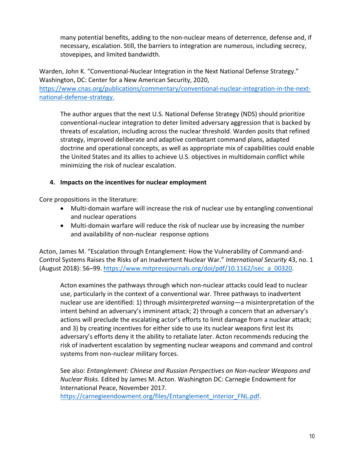many potential benefits, adding to the non-nuclear means of deterrence, defense and, if necessary, escalation. Still, the barriers to integration are numerous, including secrecy, stovepipes, and limited bandwidth.

Warden, John K. "Conventional-Nuclear Integration in the Next National Defense Strategy." Washington, DC: Center for a New American Security, 2020,

https://www.cnas.org/publications/commentary/conventional-nuclear-integration-in-the-nextnational-defense-strategy.

The author argues that the next U.S. National Defense Strategy (NDS) should prioritize conventional-nuclear integration to deter limited adversary aggression that is backed by threats of escalation, including across the nuclear threshold. Warden posits that refined strategy, improved deliberate and adaptive combatant command plans, adapted doctrine and operational concepts, as well as appropriate mix of capabilities could enable the United States and its allies to achieve U.S. objectives in multidomain conflict while minimizing the risk of nuclear escalation.

# **4. Impacts on the incentives for nuclear employment**

Core propositions in the literature:

- Multi-domain warfare will increase the risk of nuclear use by entangling conventional and nuclear operations
- Multi-domain warfare will reduce the risk of nuclear use by increasing the number and availability of non-nuclear response options

Acton, James M. "Escalation through Entanglement: How the Vulnerability of Command-and-Control Systems Raises the Risks of an Inadvertent Nuclear War." *International Security* 43, no. 1 (August 2018): 56-99. https://www.mitpressjournals.org/doi/pdf/10.1162/isec\_a\_00320.

Acton examines the pathways through which non-nuclear attacks could lead to nuclear use, particularly in the context of a conventional war. Three pathways to inadvertent nuclear use are identified: 1) through *misinterpreted warning—*a misinterpretation of the intent behind an adversary's imminent attack; 2) through a concern that an adversary's actions will preclude the escalating actor's efforts to limit damage from a nuclear attack; and 3) by creating incentives for either side to use its nuclear weapons first lest its adversary's efforts deny it the ability to retaliate later. Acton recommends reducing the risk of inadvertent escalation by segmenting nuclear weapons and command and control systems from non-nuclear military forces.

See also: *Entanglement: Chinese and Russian Perspectives on Non-nuclear Weapons and Nuclear Risks.* Edited by James M. Acton. Washington DC: Carnegie Endowment for International Peace, November 2017.

https://carnegieendowment.org/files/Entanglement\_interior\_FNL.pdf.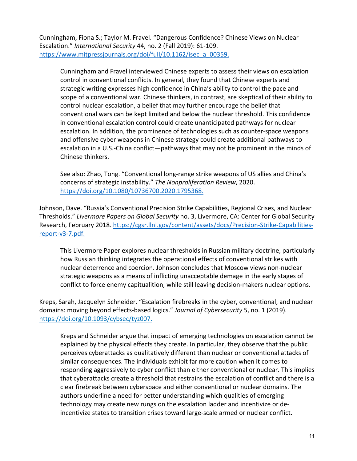Cunningham, Fiona S.; Taylor M. Fravel. "Dangerous Confidence? Chinese Views on Nuclear Escalation." *International Security* 44, no. 2 (Fall 2019): 61-109. https://www.mitpressjournals.org/doi/full/10.1162/isec\_a\_00359.

Cunningham and Fravel interviewed Chinese experts to assess their views on escalation control in conventional conflicts. In general, they found that Chinese experts and strategic writing expresses high confidence in China's ability to control the pace and scope of a conventional war. Chinese thinkers, in contrast, are skeptical of their ability to control nuclear escalation, a belief that may further encourage the belief that conventional wars can be kept limited and below the nuclear threshold. This confidence in conventional escalation control could create unanticipated pathways for nuclear escalation. In addition, the prominence of technologies such as counter-space weapons and offensive cyber weapons in Chinese strategy could create additional pathways to escalation in a U.S.-China conflict—pathways that may not be prominent in the minds of Chinese thinkers.

See also: Zhao, Tong. "Conventional long-range strike weapons of US allies and China's concerns of strategic instability." *The Nonproliferation Review*, 2020. https://doi.org/10.1080/10736700.2020.1795368.

Johnson, Dave. "Russia's Conventional Precision Strike Capabilities, Regional Crises, and Nuclear Thresholds." *Livermore Papers on Global Security* no. 3, Livermore, CA: Center for Global Security Research, February 2018. https://cgsr.llnl.gov/content/assets/docs/Precision-Strike-Capabilitiesreport-v3-7.pdf.

This Livermore Paper explores nuclear thresholds in Russian military doctrine, particularly how Russian thinking integrates the operational effects of conventional strikes with nuclear deterrence and coercion. Johnson concludes that Moscow views non-nuclear strategic weapons as a means of inflicting unacceptable demage in the early stages of conflict to force enemy capitualition, while still leaving decision-makers nuclear options.

Kreps, Sarah, Jacquelyn Schneider. "Escalation firebreaks in the cyber, conventional, and nuclear domains: moving beyond effects-based logics." *Journal of Cybersecurity* 5, no. 1 (2019). https://doi.org/10.1093/cybsec/tyz007.

Kreps and Schneider argue that impact of emerging technologies on escalation cannot be explained by the physical effects they create. In particular, they observe that the public perceives cyberattacks as qualitatively different than nuclear or conventional attacks of similar consequences. The individuals exhibit far more caution when it comes to responding aggressively to cyber conflict than either conventional or nuclear. This implies that cyberattacks create a threshold that restrains the escalation of conflict and there is a clear firebreak between cyberspace and either conventional or nuclear domains. The authors underline a need for better understanding which qualities of emerging technology may create new rungs on the escalation ladder and incentivize or deincentivize states to transition crises toward large-scale armed or nuclear conflict.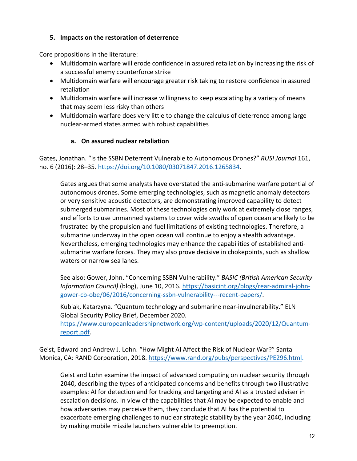#### **5. Impacts on the restoration of deterrence**

Core propositions in the literature:

- Multidomain warfare will erode confidence in assured retaliation by increasing the risk of a successful enemy counterforce strike
- Multidomain warfare will encourage greater risk taking to restore confidence in assured retaliation
- Multidomain warfare will increase willingness to keep escalating by a variety of means that may seem less risky than others
- Multidomain warfare does very little to change the calculus of deterrence among large nuclear-armed states armed with robust capabilities

# **a. On assured nuclear retaliation**

Gates, Jonathan. "Is the SSBN Deterrent Vulnerable to Autonomous Drones?" *RUSI Journal* 161, no. 6 (2016): 28–35. https://doi.org/10.1080/03071847.2016.1265834.

Gates argues that some analysts have overstated the anti-submarine warfare potential of autonomous drones. Some emerging technologies, such as magnetic anomaly detectors or very sensitive acoustic detectors, are demonstrating improved capability to detect submerged submarines. Most of these technologies only work at extremely close ranges, and efforts to use unmanned systems to cover wide swaths of open ocean are likely to be frustrated by the propulsion and fuel limitations of existing technologies. Therefore, a submarine underway in the open ocean will continue to enjoy a stealth advantage. Nevertheless, emerging technologies may enhance the capabilities of established antisubmarine warfare forces. They may also prove decisive in chokepoints, such as shallow waters or narrow sea lanes.

See also: Gower, John. "Concerning SSBN Vulnerability." *BASIC (British American Security Information Council)* (blog), June 10, 2016. https://basicint.org/blogs/rear-admiral-johngower-cb-obe/06/2016/concerning-ssbn-vulnerability---recent-papers/.

Kubiak, Katarzyna. "Quantum technology and submarine near-invulnerability." ELN Global Security Policy Brief, December 2020.

https://www.europeanleadershipnetwork.org/wp-content/uploads/2020/12/Quantumreport.pdf.

Geist, Edward and Andrew J. Lohn. "How Might AI Affect the Risk of Nuclear War?" Santa Monica, CA: RAND Corporation, 2018. https://www.rand.org/pubs/perspectives/PE296.html.

Geist and Lohn examine the impact of advanced computing on nuclear security through 2040, describing the types of anticipated concerns and benefits through two illustrative examples: AI for detection and for tracking and targeting and AI as a trusted adviser in escalation decisions. In view of the capabilities that AI may be expected to enable and how adversaries may perceive them, they conclude that AI has the potential to exacerbate emerging challenges to nuclear strategic stability by the year 2040, including by making mobile missile launchers vulnerable to preemption.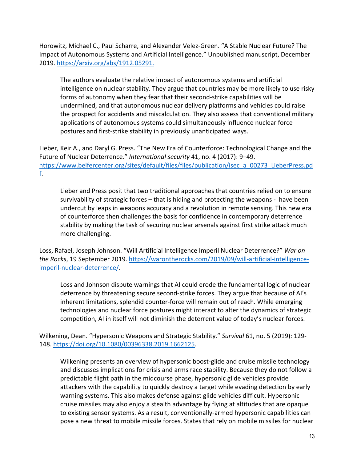Horowitz, Michael C., Paul Scharre, and Alexander Velez-Green. "A Stable Nuclear Future? The Impact of Autonomous Systems and Artificial Intelligence." Unpublished manuscript, December 2019. https://arxiv.org/abs/1912.05291.

The authors evaluate the relative impact of autonomous systems and artificial intelligence on nuclear stability. They argue that countries may be more likely to use risky forms of autonomy when they fear that their second-strike capabilities will be undermined, and that autonomous nuclear delivery platforms and vehicles could raise the prospect for accidents and miscalculation. They also assess that conventional military applications of autonomous systems could simultaneously influence nuclear force postures and first-strike stability in previously unanticipated ways.

Lieber, Keir A., and Daryl G. Press. "The New Era of Counterforce: Technological Change and the Future of Nuclear Deterrence." *International security* 41, no. 4 (2017): 9–49. https://www.belfercenter.org/sites/default/files/files/publication/isec\_a\_00273\_LieberPress.pd f.

Lieber and Press posit that two traditional approaches that countries relied on to ensure survivability of strategic forces – that is hiding and protecting the weapons - have been undercut by leaps in weapons accuracy and a revolution in remote sensing. This new era of counterforce then challenges the basis for confidence in contemporary deterrence stability by making the task of securing nuclear arsenals against first strike attack much more challenging.

Loss, Rafael, Joseph Johnson. "Will Artificial Intelligence Imperil Nuclear Deterrence?" *War on the Rocks*, 19 September 2019. https://warontherocks.com/2019/09/will-artificial-intelligenceimperil-nuclear-deterrence/.

Loss and Johnson dispute warnings that AI could erode the fundamental logic of nuclear deterrence by threatening secure second-strike forces. They argue that because of AI's inherent limitations, splendid counter-force will remain out of reach. While emerging technologies and nuclear force postures might interact to alter the dynamics of strategic competition, AI in itself will not diminish the deterrent value of today's nuclear forces.

Wilkening, Dean. "Hypersonic Weapons and Strategic Stability." *Survival* 61, no. 5 (2019): 129- 148. https://doi.org/10.1080/00396338.2019.1662125.

Wilkening presents an overview of hypersonic boost-glide and cruise missile technology and discusses implications for crisis and arms race stability. Because they do not follow a predictable flight path in the midcourse phase, hypersonic glide vehicles provide attackers with the capability to quickly destroy a target while evading detection by early warning systems. This also makes defense against glide vehicles difficult. Hypersonic cruise missiles may also enjoy a stealth advantage by flying at altitudes that are opaque to existing sensor systems. As a result, conventionally-armed hypersonic capabilities can pose a new threat to mobile missile forces. States that rely on mobile missiles for nuclear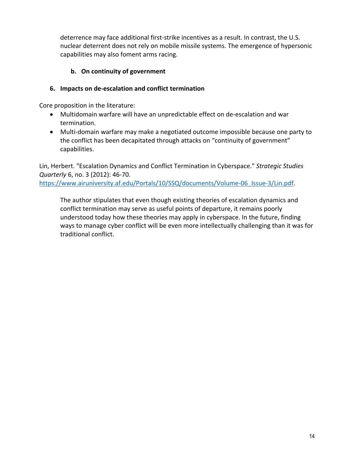deterrence may face additional first-strike incentives as a result. In contrast, the U.S. nuclear deterrent does not rely on mobile missile systems. The emergence of hypersonic capabilities may also foment arms racing.

# **b. On continuity of government**

## **6. Impacts on de-escalation and conflict termination**

Core proposition in the literature:

- Multidomain warfare will have an unpredictable effect on de-escalation and war termination.
- Multi-domain warfare may make a negotiated outcome impossible because one party to the conflict has been decapitated through attacks on "continuity of government" capabilities.

Lin, Herbert. "Escalation Dynamics and Conflict Termination in Cyberspace." *Strategic Studies Quarterly* 6, no. 3 (2012): 46-70. https://www.airuniversity.af.edu/Portals/10/SSQ/documents/Volume-06\_Issue-3/Lin.pdf.

The author stipulates that even though existing theories of escalation dynamics and conflict termination may serve as useful points of departure, it remains poorly understood today how these theories may apply in cyberspace. In the future, finding ways to manage cyber conflict will be even more intellectually challenging than it was for traditional conflict.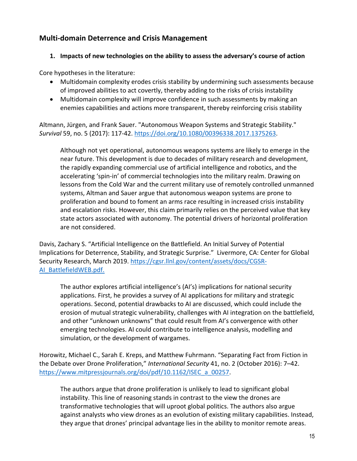# **Multi-domain Deterrence and Crisis Management**

#### **1. Impacts of new technologies on the ability to assess the adversary's course of action**

Core hypotheses in the literature:

- Multidomain complexity erodes crisis stability by undermining such assessments because of improved abilities to act covertly, thereby adding to the risks of crisis instability
- Multidomain complexity will improve confidence in such assessments by making an enemies capabilities and actions more transparent, thereby reinforcing crisis stability

Altmann, Jürgen, and Frank Sauer. "Autonomous Weapon Systems and Strategic Stability." *Survival* 59, no. 5 (2017): 117-42. https://doi.org/10.1080/00396338.2017.1375263.

Although not yet operational, autonomous weapons systems are likely to emerge in the near future. This development is due to decades of military research and development, the rapidly expanding commercial use of artificial intelligence and robotics, and the accelerating 'spin-in' of commercial technologies into the military realm. Drawing on lessons from the Cold War and the current military use of remotely controlled unmanned systems, Altman and Sauer argue that autonomous weapon systems are prone to proliferation and bound to foment an arms race resulting in increased crisis instability and escalation risks. However, this claim primarily relies on the perceived value that key state actors associated with autonomy. The potential drivers of horizontal proliferation are not considered.

Davis, Zachary S. "Artificial Intelligence on the Battlefield. An Initial Survey of Potential Implications for Deterrence, Stability, and Strategic Surprise." Livermore, CA: Center for Global Security Research, March 2019. https://cgsr.llnl.gov/content/assets/docs/CGSR-AI\_BattlefieldWEB.pdf.

The author explores artificial intelligence's (AI's) implications for national security applications. First, he provides a survey of AI applications for military and strategic operations. Second, potential drawbacks to AI are discussed, which could include the erosion of mutual strategic vulnerability, challenges with AI integration on the battlefield, and other "unknown unknowns" that could result from AI's convergence with other emerging technologies. AI could contribute to intelligence analysis, modelling and simulation, or the development of wargames.

Horowitz, Michael C., Sarah E. Kreps, and Matthew Fuhrmann. "Separating Fact from Fiction in the Debate over Drone Proliferation," *International Security* 41, no. 2 (October 2016): 7–42. https://www.mitpressjournals.org/doi/pdf/10.1162/ISEC a 00257.

The authors argue that drone proliferation is unlikely to lead to significant global instability. This line of reasoning stands in contrast to the view the drones are transformative technologies that will uproot global politics. The authors also argue against analysts who view drones as an evolution of existing military capabilities. Instead, they argue that drones' principal advantage lies in the ability to monitor remote areas.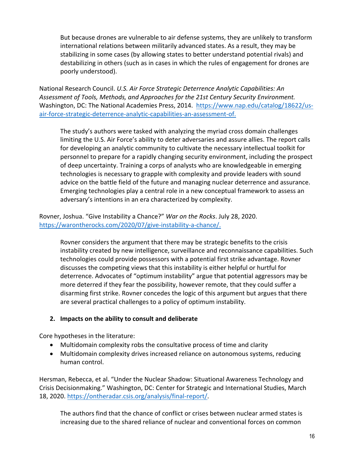But because drones are vulnerable to air defense systems, they are unlikely to transform international relations between militarily advanced states. As a result, they may be stabilizing in some cases (by allowing states to better understand potential rivals) and destabilizing in others (such as in cases in which the rules of engagement for drones are poorly understood).

National Research Council. *U.S. Air Force Strategic Deterrence Analytic Capabilities: An Assessment of Tools, Methods, and Approaches for the 21st Century Security Environment.* Washington, DC: The National Academies Press, 2014. https://www.nap.edu/catalog/18622/usair-force-strategic-deterrence-analytic-capabilities-an-assessment-of.

The study's authors were tasked with analyzing the myriad cross domain challenges limiting the U.S. Air Force's ability to deter adversaries and assure allies. The report calls for developing an analytic community to cultivate the necessary intellectual toolkit for personnel to prepare for a rapidly changing security environment, including the prospect of deep uncertainty. Training a corps of analysts who are knowledgeable in emerging technologies is necessary to grapple with complexity and provide leaders with sound advice on the battle field of the future and managing nuclear deterrence and assurance. Emerging technologies play a central role in a new conceptual framework to assess an adversary's intentions in an era characterized by complexity.

Rovner, Joshua. "Give Instability a Chance?" *War on the Rocks*. July 28, 2020. https://warontherocks.com/2020/07/give-instability-a-chance/.

Rovner considers the argument that there may be strategic benefits to the crisis instability created by new intelligence, surveillance and reconnaissance capabilities. Such technologies could provide possessors with a potential first strike advantage. Rovner discusses the competing views that this instability is either helpful or hurtful for deterrence. Advocates of "optimum instability" argue that potential aggressors may be more deterred if they fear the possibility, however remote, that they could suffer a disarming first strike. Rovner concedes the logic of this argument but argues that there are several practical challenges to a policy of optimum instability.

#### **2. Impacts on the ability to consult and deliberate**

Core hypotheses in the literature:

- Multidomain complexity robs the consultative process of time and clarity
- Multidomain complexity drives increased reliance on autonomous systems, reducing human control.

Hersman, Rebecca, et al. "Under the Nuclear Shadow: Situational Awareness Technology and Crisis Decisionmaking." Washington, DC: Center for Strategic and International Studies, March 18, 2020. https://ontheradar.csis.org/analysis/final-report/.

The authors find that the chance of conflict or crises between nuclear armed states is increasing due to the shared reliance of nuclear and conventional forces on common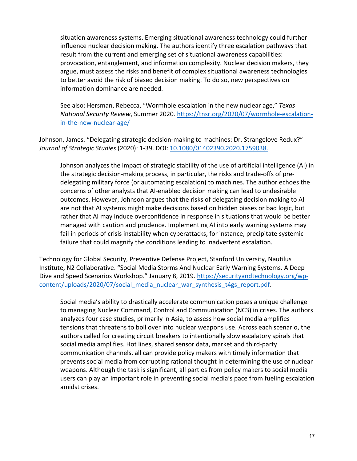situation awareness systems. Emerging situational awareness technology could further influence nuclear decision making. The authors identify three escalation pathways that result from the current and emerging set of situational awareness capabilities: provocation, entanglement, and information complexity. Nuclear decision makers, they argue, must assess the risks and benefit of complex situational awareness technologies to better avoid the risk of biased decision making. To do so, new perspectives on information dominance are needed.

See also: Hersman, Rebecca, "Wormhole escalation in the new nuclear age," *Texas National Security Review*, Summer 2020. https://tnsr.org/2020/07/wormhole-escalationin-the-new-nuclear-age/

Johnson, James. "Delegating strategic decision-making to machines: Dr. Strangelove Redux?" *Journal of Strategic Studies* (2020): 1-39. DOI: 10.1080/01402390.2020.1759038.

Johnson analyzes the impact of strategic stability of the use of artificial intelligence (AI) in the strategic decision-making process, in particular, the risks and trade-offs of predelegating military force (or automating escalation) to machines. The author echoes the concerns of other analysts that AI-enabled decision making can lead to undesirable outcomes. However, Johnson argues that the risks of delegating decision making to AI are not that AI systems might make decisions based on hidden biases or bad logic, but rather that AI may induce overconfidence in response in situations that would be better managed with caution and prudence. Implementing AI into early warning systems may fail in periods of crisis instability when cyberattacks, for instance, precipitate systemic failure that could magnify the conditions leading to inadvertent escalation.

Technology for Global Security, Preventive Defense Project, Stanford University, Nautilus Institute, N2 Collaborative. "Social Media Storms And Nuclear Early Warning Systems. A Deep Dive and Speed Scenarios Workshop." January 8, 2019. https://securityandtechnology.org/wpcontent/uploads/2020/07/social\_media\_nuclear\_war\_synthesis\_t4gs\_report.pdf.

Social media's ability to drastically accelerate communication poses a unique challenge to managing Nuclear Command, Control and Communication (NC3) in crises. The authors analyzes four case studies, primarily in Asia, to assess how social media amplifies tensions that threatens to boil over into nuclear weapons use. Across each scenario, the authors called for creating circuit breakers to intentionally slow escalatory spirals that social media amplifies. Hot lines, shared sensor data, market and third-party communication channels, all can provide policy makers with timely information that prevents social media from corrupting rational thought in determining the use of nuclear weapons. Although the task is significant, all parties from policy makers to social media users can play an important role in preventing social media's pace from fueling escalation amidst crises.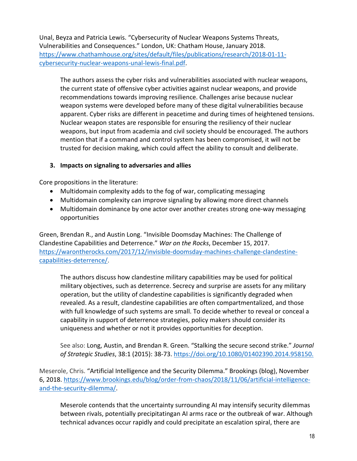Unal, Beyza and Patricia Lewis. "Cybersecurity of Nuclear Weapons Systems Threats, Vulnerabilities and Consequences." London, UK: Chatham House, January 2018. https://www.chathamhouse.org/sites/default/files/publications/research/2018-01-11 cybersecurity-nuclear-weapons-unal-lewis-final.pdf.

The authors assess the cyber risks and vulnerabilities associated with nuclear weapons, the current state of offensive cyber activities against nuclear weapons, and provide recommendations towards improving resilience. Challenges arise because nuclear weapon systems were developed before many of these digital vulnerabilities because apparent. Cyber risks are different in peacetime and during times of heightened tensions. Nuclear weapon states are responsible for ensuring the resiliency of their nuclear weapons, but input from academia and civil society should be encouraged. The authors mention that if a command and control system has been compromised, it will not be trusted for decision making, which could affect the ability to consult and deliberate.

#### **3. Impacts on signaling to adversaries and allies**

Core propositions in the literature:

- Multidomain complexity adds to the fog of war, complicating messaging
- Multidomain complexity can improve signaling by allowing more direct channels
- Multidomain dominance by one actor over another creates strong one-way messaging opportunities

Green, Brendan R., and Austin Long. "Invisible Doomsday Machines: The Challenge of Clandestine Capabilities and Deterrence." *War on the Rocks*, December 15, 2017. https://warontherocks.com/2017/12/invisible-doomsday-machines-challenge-clandestinecapabilities-deterrence/.

The authors discuss how clandestine military capabilities may be used for political military objectives, such as deterrence. Secrecy and surprise are assets for any military operation, but the utility of clandestine capabilities is significantly degraded when revealed. As a result, clandestine capabilities are often compartmentalized, and those with full knowledge of such systems are small. To decide whether to reveal or conceal a capability in support of deterrence strategies, policy makers should consider its uniqueness and whether or not it provides opportunities for deception.

See also: Long, Austin, and Brendan R. Green. "Stalking the secure second strike." *Journal of Strategic Studies*, 38:1 (2015): 38-73. https://doi.org/10.1080/01402390.2014.958150.

Meserole, Chris. "Artificial Intelligence and the Security Dilemma." Brookings (blog), November 6, 2018. https://www.brookings.edu/blog/order-from-chaos/2018/11/06/artificial-intelligenceand-the-security-dilemma/.

Meserole contends that the uncertainty surrounding AI may intensify security dilemmas between rivals, potentially precipitatingan AI arms race or the outbreak of war. Although technical advances occur rapidly and could precipitate an escalation spiral, there are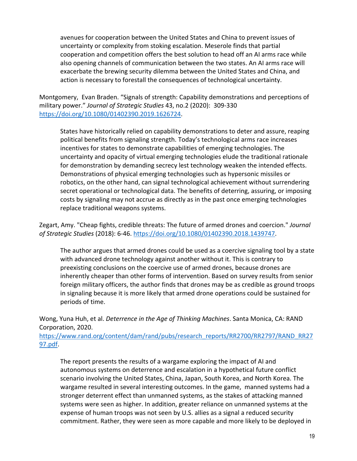avenues for cooperation between the United States and China to prevent issues of uncertainty or complexity from stoking escalation. Meserole finds that partial cooperation and competition offers the best solution to head off an AI arms race while also opening channels of communication between the two states. An AI arms race will exacerbate the brewing security dilemma between the United States and China, and action is necessary to forestall the consequences of technological uncertainty.

Montgomery, Evan Braden. "Signals of strength: Capability demonstrations and perceptions of military power." *Journal of Strategic Studies* 43, no.2 (2020): 309-330 https://doi.org/10.1080/01402390.2019.1626724.

States have historically relied on capability demonstrations to deter and assure, reaping political benefits from signaling strength. Today's technological arms race increases incentives for states to demonstrate capabilities of emerging technologies. The uncertainty and opacity of virtual emerging technologies elude the traditional rationale for demonstration by demanding secrecy lest technology weaken the intended effects. Demonstrations of physical emerging technologies such as hypersonic missiles or robotics, on the other hand, can signal technological achievement without surrendering secret operational or technological data. The benefits of deterring, assuring, or imposing costs by signaling may not accrue as directly as in the past once emerging technologies replace traditional weapons systems.

Zegart, Amy. "Cheap fights, credible threats: The future of armed drones and coercion." *Journal of Strategic Studies* (2018): 6-46. https://doi.org/10.1080/01402390.2018.1439747.

The author argues that armed drones could be used as a coercive signaling tool by a state with advanced drone technology against another without it. This is contrary to preexisting conclusions on the coercive use of armed drones, because drones are inherently cheaper than other forms of intervention. Based on survey results from senior foreign military officers, the author finds that drones may be as credible as ground troops in signaling because it is more likely that armed drone operations could be sustained for periods of time.

Wong, Yuna Huh, et al. *Deterrence in the Age of Thinking Machines*. Santa Monica, CA: RAND Corporation, 2020.

https://www.rand.org/content/dam/rand/pubs/research\_reports/RR2700/RR2797/RAND\_RR27 97.pdf.

The report presents the results of a wargame exploring the impact of AI and autonomous systems on deterrence and escalation in a hypothetical future conflict scenario involving the United States, China, Japan, South Korea, and North Korea. The wargame resulted in several interesting outcomes. In the game, manned systems had a stronger deterrent effect than unmanned systems, as the stakes of attacking manned systems were seen as higher. In addition, greater reliance on unmanned systems at the expense of human troops was not seen by U.S. allies as a signal a reduced security commitment. Rather, they were seen as more capable and more likely to be deployed in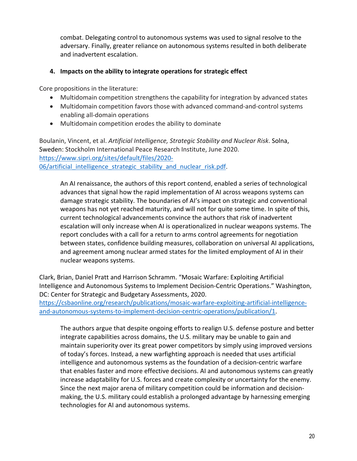combat. Delegating control to autonomous systems was used to signal resolve to the adversary. Finally, greater reliance on autonomous systems resulted in both deliberate and inadvertent escalation.

## **4. Impacts on the ability to integrate operations for strategic effect**

Core propositions in the literature:

- Multidomain competition strengthens the capability for integration by advanced states
- Multidomain competition favors those with advanced command-and-control systems enabling all-domain operations
- Multidomain competition erodes the ability to dominate

Boulanin, Vincent, et al. *Artificial Intelligence, Strategic Stability and Nuclear Risk*. Solna, Sweden: Stockholm International Peace Research Institute, June 2020. https://www.sipri.org/sites/default/files/2020- 06/artificial intelligence strategic stability and nuclear risk.pdf.

An AI renaissance, the authors of this report contend, enabled a series of technological advances that signal how the rapid implementation of AI across weapons systems can damage strategic stability. The boundaries of AI's impact on strategic and conventional weapons has not yet reached maturity, and will not for quite some time. In spite of this, current technological advancements convince the authors that risk of inadvertent escalation will only increase when AI is operationalized in nuclear weapons systems. The report concludes with a call for a return to arms control agreements for negotiation between states, confidence building measures, collaboration on universal AI applications, and agreement among nuclear armed states for the limited employment of AI in their nuclear weapons systems.

Clark, Brian, Daniel Pratt and Harrison Schramm. "Mosaic Warfare: Exploiting Artificial Intelligence and Autonomous Systems to Implement Decision-Centric Operations." Washington, DC: Center for Strategic and Budgetary Assessments, 2020.

https://csbaonline.org/research/publications/mosaic-warfare-exploiting-artificial-intelligenceand-autonomous-systems-to-implement-decision-centric-operations/publication/1.

The authors argue that despite ongoing efforts to realign U.S. defense posture and better integrate capabilities across domains, the U.S. military may be unable to gain and maintain superiority over its great power competitors by simply using improved versions of today's forces. Instead, a new warfighting approach is needed that uses artificial intelligence and autonomous systems as the foundation of a decision-centric warfare that enables faster and more effective decisions. AI and autonomous systems can greatly increase adaptability for U.S. forces and create complexity or uncertainty for the enemy. Since the next major arena of military competition could be information and decisionmaking, the U.S. military could establish a prolonged advantage by harnessing emerging technologies for AI and autonomous systems.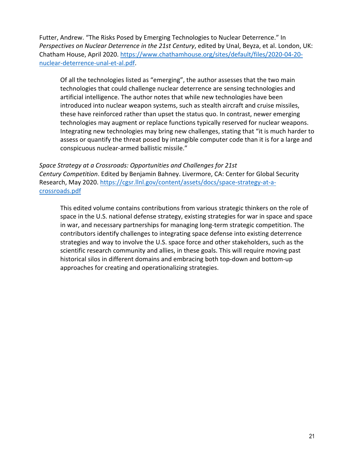Futter, Andrew. "The Risks Posed by Emerging Technologies to Nuclear Deterrence." In *Perspectives on Nuclear Deterrence in the 21st Century*, edited by Unal, Beyza, et al. London, UK: Chatham House, April 2020. https://www.chathamhouse.org/sites/default/files/2020-04-20 nuclear-deterrence-unal-et-al.pdf.

Of all the technologies listed as "emerging", the author assesses that the two main technologies that could challenge nuclear deterrence are sensing technologies and artificial intelligence. The author notes that while new technologies have been introduced into nuclear weapon systems, such as stealth aircraft and cruise missiles, these have reinforced rather than upset the status quo. In contrast, newer emerging technologies may augment or replace functions typically reserved for nuclear weapons. Integrating new technologies may bring new challenges, stating that "it is much harder to assess or quantify the threat posed by intangible computer code than it is for a large and conspicuous nuclear-armed ballistic missile."

*Space Strategy at a Crossroads: Opportunities and Challenges for 21st Century Competition*. Edited by Benjamin Bahney. Livermore, CA: Center for Global Security Research, May 2020. https://cgsr.llnl.gov/content/assets/docs/space-strategy-at-acrossroads.pdf

This edited volume contains contributions from various strategic thinkers on the role of space in the U.S. national defense strategy, existing strategies for war in space and space in war, and necessary partnerships for managing long-term strategic competition. The contributors identify challenges to integrating space defense into existing deterrence strategies and way to involve the U.S. space force and other stakeholders, such as the scientific research community and allies, in these goals. This will require moving past historical silos in different domains and embracing both top-down and bottom-up approaches for creating and operationalizing strategies.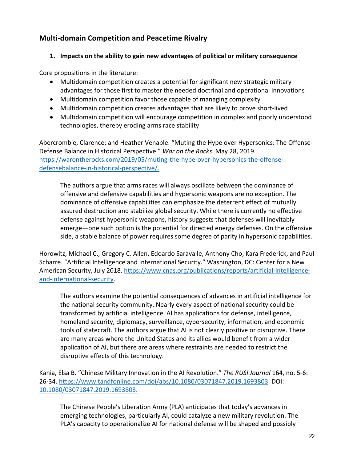# **Multi-domain Competition and Peacetime Rivalry**

# **1. Impacts on the ability to gain new advantages of political or military consequence**

Core propositions in the literature:

- Multidomain competition creates a potential for significant new strategic military advantages for those first to master the needed doctrinal and operational innovations
- Multidomain competition favor those capable of managing complexity
- Multidomain competition creates advantages that are likely to prove short-lived
- Multidomain competition will encourage competition in complex and poorly understood technologies, thereby eroding arms race stability

Abercrombie, Clarence; and Heather Venable. "Muting the Hype over Hypersonics: The Offense-Defense Balance in Historical Perspective." *War on the Rocks*. May 28, 2019. https://warontherocks.com/2019/05/muting-the-hype-over-hypersonics-the-offensedefensebalance-in-historical-perspective/.

The authors argue that arms races will always oscillate between the dominance of offensive and defensive capabilities and hypersonic weapons are no exception. The dominance of offensive capabilities can emphasize the deterrent effect of mutually assured destruction and stabilize global security. While there is currently no effective defense against hypersonic weapons, history suggests that defenses will inevitably emerge—one such option is the potential for directed energy defenses. On the offensive side, a stable balance of power requires some degree of parity in hypersonic capabilities.

Horowitz, Michael C., Gregory C. Allen, Edoardo Saravalle, Anthony Cho, Kara Frederick, and Paul Scharre. "Artificial Intelligence and International Security." Washington, DC: Center for a New American Security, July 2018. https://www.cnas.org/publications/reports/artificial-intelligenceand-international-security.

The authors examine the potential consequences of advances in artificial intelligence for the national security community. Nearly every aspect of national security could be transformed by artificial intelligence. AI has applications for defense, intelligence, homeland security, diplomacy, surveillance, cybersecurity, information, and economic tools of statecraft. The authors argue that AI is not clearly positive or disruptive. There are many areas where the United States and its allies would benefit from a wider application of AI, but there are areas where restraints are needed to restrict the disruptive effects of this technology.

Kania, Elsa B. "Chinese Military Innovation in the AI Revolution." *The RUSI Journal* 164, no. 5-6: 26-34. https://www.tandfonline.com/doi/abs/10.1080/03071847.2019.1693803. DOI: 10.1080/03071847.2019.1693803.

The Chinese People's Liberation Army (PLA) anticipates that today's advances in emerging technologies, particularly AI, could catalyze a new military revolution. The PLA's capacity to operationalize AI for national defense will be shaped and possibly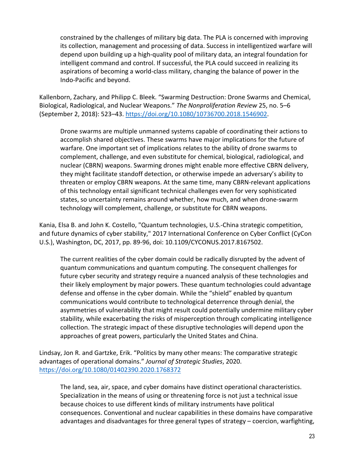constrained by the challenges of military big data. The PLA is concerned with improving its collection, management and processing of data. Success in intelligentized warfare will depend upon building up a high-quality pool of military data, an integral foundation for intelligent command and control. If successful, the PLA could succeed in realizing its aspirations of becoming a world-class military, changing the balance of power in the Indo-Pacific and beyond.

Kallenborn, Zachary, and Philipp C. Bleek. "Swarming Destruction: Drone Swarms and Chemical, Biological, Radiological, and Nuclear Weapons." *The Nonproliferation Review* 25, no. 5–6 (September 2, 2018): 523–43. https://doi.org/10.1080/10736700.2018.1546902.

Drone swarms are multiple unmanned systems capable of coordinating their actions to accomplish shared objectives. These swarms have major implications for the future of warfare. One important set of implications relates to the ability of drone swarms to complement, challenge, and even substitute for chemical, biological, radiological, and nuclear (CBRN) weapons. Swarming drones might enable more effective CBRN delivery, they might facilitate standoff detection, or otherwise impede an adversary's ability to threaten or employ CBRN weapons. At the same time, many CBRN-relevant applications of this technology entail significant technical challenges even for very sophisticated states, so uncertainty remains around whether, how much, and when drone-swarm technology will complement, challenge, or substitute for CBRN weapons.

Kania, Elsa B. and John K. Costello, "Quantum technologies, U.S.-China strategic competition, and future dynamics of cyber stability," 2017 International Conference on Cyber Conflict (CyCon U.S.), Washington, DC, 2017, pp. 89-96, doi: 10.1109/CYCONUS.2017.8167502.

The current realities of the cyber domain could be radically disrupted by the advent of quantum communications and quantum computing. The consequent challenges for future cyber security and strategy require a nuanced analysis of these technologies and their likely employment by major powers. These quantum technologies could advantage defense and offense in the cyber domain. While the "shield" enabled by quantum communications would contribute to technological deterrence through denial, the asymmetries of vulnerability that might result could potentially undermine military cyber stability, while exacerbating the risks of misperception through complicating intelligence collection. The strategic impact of these disruptive technologies will depend upon the approaches of great powers, particularly the United States and China.

Lindsay, Jon R. and Gartzke, Erik. "Politics by many other means: The comparative strategic advantages of operational domains." *Journal of Strategic Studies*, 2020. https://doi.org/10.1080/01402390.2020.1768372

The land, sea, air, space, and cyber domains have distinct operational characteristics. Specialization in the means of using or threatening force is not just a technical issue because choices to use different kinds of military instruments have political consequences. Conventional and nuclear capabilities in these domains have comparative advantages and disadvantages for three general types of strategy – coercion, warfighting,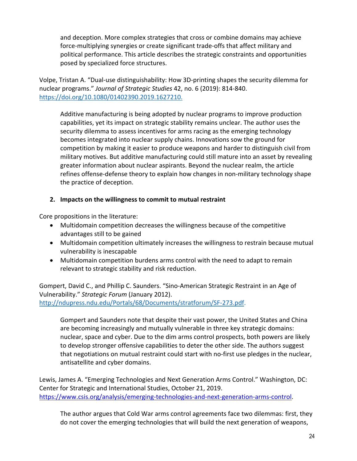and deception. More complex strategies that cross or combine domains may achieve force-multiplying synergies or create significant trade-offs that affect military and political performance. This article describes the strategic constraints and opportunities posed by specialized force structures.

Volpe, Tristan A. "Dual-use distinguishability: How 3D-printing shapes the security dilemma for nuclear programs." *Journal of Strategic Studies* 42, no. 6 (2019): 814-840. https://doi.org/10.1080/01402390.2019.1627210.

Additive manufacturing is being adopted by nuclear programs to improve production capabilities, yet its impact on strategic stability remains unclear. The author uses the security dilemma to assess incentives for arms racing as the emerging technology becomes integrated into nuclear supply chains. Innovations sow the ground for competition by making it easier to produce weapons and harder to distinguish civil from military motives. But additive manufacturing could still mature into an asset by revealing greater information about nuclear aspirants. Beyond the nuclear realm, the article refines offense-defense theory to explain how changes in non-military technology shape the practice of deception.

# **2. Impacts on the willingness to commit to mutual restraint**

Core propositions in the literature:

- Multidomain competition decreases the willingness because of the competitive advantages still to be gained
- Multidomain competition ultimately increases the willingness to restrain because mutual vulnerability is inescapable
- Multidomain competition burdens arms control with the need to adapt to remain relevant to strategic stability and risk reduction.

Gompert, David C., and Phillip C. Saunders. "Sino-American Strategic Restraint in an Age of Vulnerability." *Strategic Forum* (January 2012). http://ndupress.ndu.edu/Portals/68/Documents/stratforum/SF-273.pdf.

Gompert and Saunders note that despite their vast power, the United States and China are becoming increasingly and mutually vulnerable in three key strategic domains: nuclear, space and cyber. Due to the dim arms control prospects, both powers are likely to develop stronger offensive capabilities to deter the other side. The authors suggest that negotiations on mutual restraint could start with no-first use pledges in the nuclear, antisatellite and cyber domains.

Lewis, James A. "Emerging Technologies and Next Generation Arms Control." Washington, DC: Center for Strategic and International Studies, October 21, 2019. https://www.csis.org/analysis/emerging-technologies-and-next-generation-arms-control.

The author argues that Cold War arms control agreements face two dilemmas: first, they do not cover the emerging technologies that will build the next generation of weapons,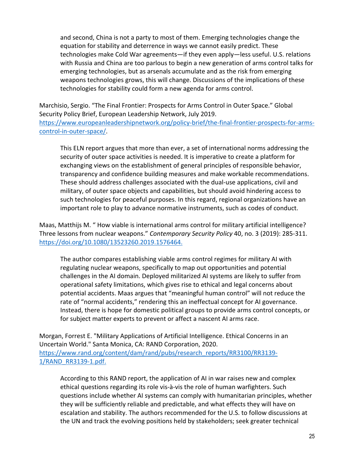and second, China is not a party to most of them. Emerging technologies change the equation for stability and deterrence in ways we cannot easily predict. These technologies make Cold War agreements—if they even apply—less useful. U.S. relations with Russia and China are too parlous to begin a new generation of arms control talks for emerging technologies, but as arsenals accumulate and as the risk from emerging weapons technologies grows, this will change. Discussions of the implications of these technologies for stability could form a new agenda for arms control.

Marchisio, Sergio. "The Final Frontier: Prospects for Arms Control in Outer Space." Global Security Policy Brief, European Leadership Network, July 2019. https://www.europeanleadershipnetwork.org/policy-brief/the-final-frontier-prospects-for-armscontrol-in-outer-space/.

This ELN report argues that more than ever, a set of international norms addressing the security of outer space activities is needed. It is imperative to create a platform for exchanging views on the establishment of general principles of responsible behavior, transparency and confidence building measures and make workable recommendations. These should address challenges associated with the dual-use applications, civil and military, of outer space objects and capabilities, but should avoid hindering access to such technologies for peaceful purposes. In this regard, regional organizations have an important role to play to advance normative instruments, such as codes of conduct.

Maas, Matthijs M. " How viable is international arms control for military artificial intelligence? Three lessons from nuclear weapons." *Contemporary Security Policy* 40, no. 3 (2019): 285-311. https://doi.org/10.1080/13523260.2019.1576464.

The author compares establishing viable arms control regimes for military AI with regulating nuclear weapons, specifically to map out opportunities and potential challenges in the AI domain. Deployed militarized AI systems are likely to suffer from operational safety limitations, which gives rise to ethical and legal concerns about potential accidents. Maas argues that "meaningful human control" will not reduce the rate of "normal accidents," rendering this an ineffectual concept for AI governance. Instead, there is hope for domestic political groups to provide arms control concepts, or for subject matter experts to prevent or affect a nascent AI arms race.

Morgan, Forrest E. "Military Applications of Artificial Intelligence. Ethical Concerns in an Uncertain World." Santa Monica, CA: RAND Corporation, 2020. https://www.rand.org/content/dam/rand/pubs/research\_reports/RR3100/RR3139- 1/RAND\_RR3139-1.pdf.

According to this RAND report, the application of AI in war raises new and complex ethical questions regarding its role vis-à-vis the role of human warfighters. Such questions include whether AI systems can comply with humanitarian principles, whether they will be sufficiently reliable and predictable, and what effects they will have on escalation and stability. The authors recommended for the U.S. to follow discussions at the UN and track the evolving positions held by stakeholders; seek greater technical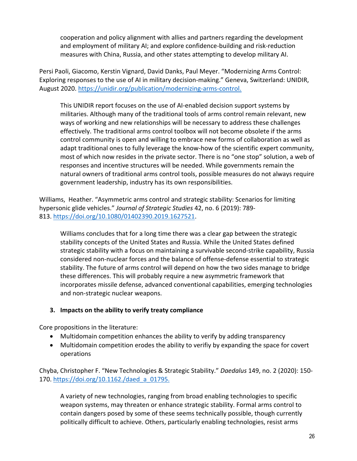cooperation and policy alignment with allies and partners regarding the development and employment of military AI; and explore confidence-building and risk-reduction measures with China, Russia, and other states attempting to develop military AI.

Persi Paoli, Giacomo, Kerstin Vignard, David Danks, Paul Meyer. "Modernizing Arms Control: Exploring responses to the use of AI in military decision-making." Geneva, Switzerland: UNIDIR, August 2020. https://unidir.org/publication/modernizing-arms-control.

This UNIDIR report focuses on the use of AI-enabled decision support systems by militaries. Although many of the traditional tools of arms control remain relevant, new ways of working and new relationships will be necessary to address these challenges effectively. The traditional arms control toolbox will not become obsolete if the arms control community is open and willing to embrace new forms of collaboration as well as adapt traditional ones to fully leverage the know-how of the scientific expert community, most of which now resides in the private sector. There is no "one stop" solution, a web of responses and incentive structures will be needed. While governments remain the natural owners of traditional arms control tools, possible measures do not always require government leadership, industry has its own responsibilities.

Williams, Heather. "Asymmetric arms control and strategic stability: Scenarios for limiting hypersonic glide vehicles." *Journal of Strategic Studies* 42, no. 6 (2019): 789- 813. https://doi.org/10.1080/01402390.2019.1627521.

Williams concludes that for a long time there was a clear gap between the strategic stability concepts of the United States and Russia. While the United States defined strategic stability with a focus on maintaining a survivable second-strike capability, Russia considered non-nuclear forces and the balance of offense-defense essential to strategic stability. The future of arms control will depend on how the two sides manage to bridge these differences. This will probably require a new asymmetric framework that incorporates missile defense, advanced conventional capabilities, emerging technologies and non-strategic nuclear weapons.

#### **3. Impacts on the ability to verify treaty compliance**

Core propositions in the literature:

- Multidomain competition enhances the ability to verify by adding transparency
- Multidomain competition erodes the ability to verifiy by expanding the space for covert operations

Chyba, Christopher F. "New Technologies & Strategic Stability." *Daedalus* 149, no. 2 (2020): 150- 170. https://doi.org/10.1162./daed\_a\_01795.

A variety of new technologies, ranging from broad enabling technologies to specific weapon systems, may threaten or enhance strategic stability. Formal arms control to contain dangers posed by some of these seems technically possible, though currently politically difficult to achieve. Others, particularly enabling technologies, resist arms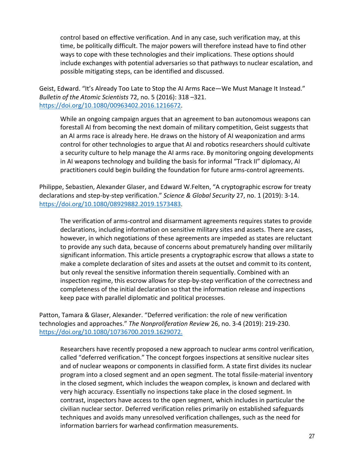control based on effective verification. And in any case, such verification may, at this time, be politically difficult. The major powers will therefore instead have to find other ways to cope with these technologies and their implications. These options should include exchanges with potential adversaries so that pathways to nuclear escalation, and possible mitigating steps, can be identified and discussed.

Geist, Edward. "It's Already Too Late to Stop the AI Arms Race—We Must Manage It Instead." *Bulletin of the Atomic Scientists* 72, no. 5 (2016): 318 –321. https://doi.org/10.1080/00963402.2016.1216672.

While an ongoing campaign argues that an agreement to ban autonomous weapons can forestall AI from becoming the next domain of military competition, Geist suggests that an AI arms race is already here. He draws on the history of AI weaponization and arms control for other technologies to argue that AI and robotics researchers should cultivate a security culture to help manage the AI arms race. By monitoring ongoing developments in AI weapons technology and building the basis for informal "Track II" diplomacy, AI practitioners could begin building the foundation for future arms-control agreements.

Philippe, Sebastien, Alexander Glaser, and Edward W.Felten, "A cryptographic escrow for treaty declarations and step-by-step verification." *Science & Global Security* 27, no. 1 (2019): 3-14. https://doi.org/10.1080/08929882.2019.1573483.

The verification of arms-control and disarmament agreements requires states to provide declarations, including information on sensitive military sites and assets. There are cases, however, in which negotiations of these agreements are impeded as states are reluctant to provide any such data, because of concerns about prematurely handing over militarily significant information. This article presents a cryptographic escrow that allows a state to make a complete declaration of sites and assets at the outset and commit to its content, but only reveal the sensitive information therein sequentially. Combined with an inspection regime, this escrow allows for step-by-step verification of the correctness and completeness of the initial declaration so that the information release and inspections keep pace with parallel diplomatic and political processes.

Patton, Tamara & Glaser, Alexander. "Deferred verification: the role of new verification technologies and approaches." *The Nonproliferation Review* 26, no. 3-4 (2019): 219-230. https://doi.org/10.1080/10736700.2019.1629072.

Researchers have recently proposed a new approach to nuclear arms control verification, called "deferred verification." The concept forgoes inspections at sensitive nuclear sites and of nuclear weapons or components in classified form. A state first divides its nuclear program into a closed segment and an open segment. The total fissile-material inventory in the closed segment, which includes the weapon complex, is known and declared with very high accuracy. Essentially no inspections take place in the closed segment. In contrast, inspectors have access to the open segment, which includes in particular the civilian nuclear sector. Deferred verification relies primarily on established safeguards techniques and avoids many unresolved verification challenges, such as the need for information barriers for warhead confirmation measurements.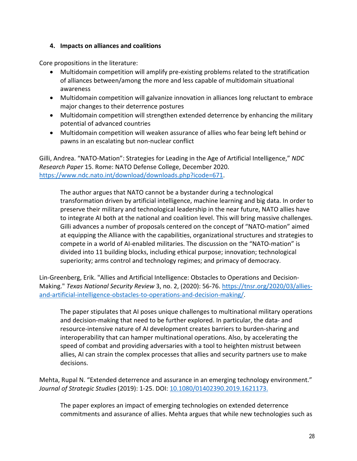#### **4. Impacts on alliances and coalitions**

Core propositions in the literature:

- Multidomain competition will amplify pre-existing problems related to the stratification of alliances between/among the more and less capable of multidomain situational awareness
- Multidomain competition will galvanize innovation in alliances long reluctant to embrace major changes to their deterrence postures
- Multidomain competition will strengthen extended deterrence by enhancing the military potential of advanced countries
- Multidomain competition will weaken assurance of allies who fear being left behind or pawns in an escalating but non-nuclear conflict

Gilli, Andrea. "NATO-Mation": Strategies for Leading in the Age of Artificial Intelligence," *NDC Research Paper* 15. Rome: NATO Defense College, December 2020. https://www.ndc.nato.int/download/downloads.php?icode=671.

The author argues that NATO cannot be a bystander during a technological transformation driven by artificial intelligence, machine learning and big data. In order to preserve their military and technological leadership in the near future, NATO allies have to integrate AI both at the national and coalition level. This will bring massive challenges. Gilli advances a number of proposals centered on the concept of "NATO-mation" aimed at equipping the Alliance with the capabilities, organizational structures and strategies to compete in a world of AI-enabled militaries. The discussion on the "NATO-mation" is divided into 11 building blocks, including ethical purpose; innovation; technological superiority; arms control and technology regimes; and primacy of democracy.

Lin-Greenberg, Erik. "Allies and Artificial Intelligence: Obstacles to Operations and Decision-Making." *Texas National Security Review* 3, no. 2, (2020): 56-76. https://tnsr.org/2020/03/alliesand-artificial-intelligence-obstacles-to-operations-and-decision-making/.

The paper stipulates that AI poses unique challenges to multinational military operations and decision-making that need to be further explored. In particular, the data- and resource-intensive nature of AI development creates barriers to burden-sharing and interoperability that can hamper multinational operations. Also, by accelerating the speed of combat and providing adversaries with a tool to heighten mistrust between allies, AI can strain the complex processes that allies and security partners use to make decisions.

Mehta, Rupal N. "Extended deterrence and assurance in an emerging technology environment." *Journal of Strategic Studies* (2019): 1-25. DOI: 10.1080/01402390.2019.1621173.

The paper explores an impact of emerging technologies on extended deterrence commitments and assurance of allies. Mehta argues that while new technologies such as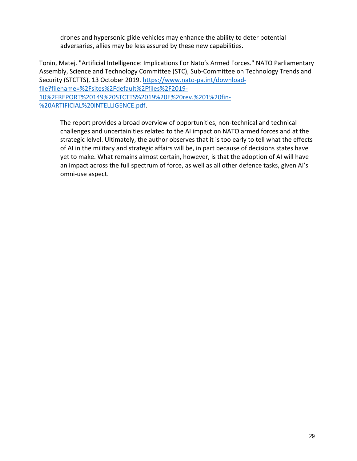drones and hypersonic glide vehicles may enhance the ability to deter potential adversaries, allies may be less assured by these new capabilities.

Tonin, Matej. "Artificial Intelligence: Implications For Nato's Armed Forces." NATO Parliamentary Assembly, Science and Technology Committee (STC), Sub-Committee on Technology Trends and Security (STCTTS), 13 October 2019. https://www.nato-pa.int/downloadfile?filename=%2Fsites%2Fdefault%2Ffiles%2F2019- 10%2FREPORT%20149%20STCTTS%2019%20E%20rev.%201%20fin- %20ARTIFICIAL%20INTELLIGENCE.pdf.

The report provides a broad overview of opportunities, non-technical and technical challenges and uncertainities related to the AI impact on NATO armed forces and at the strategic lelvel. Ultimately, the author observes that it is too early to tell what the effects of AI in the military and strategic affairs will be, in part because of decisions states have yet to make. What remains almost certain, however, is that the adoption of AI will have an impact across the full spectrum of force, as well as all other defence tasks, given AI's omni-use aspect.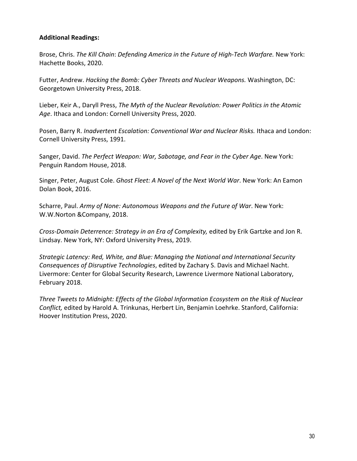#### **Additional Readings:**

Brose, Chris. *The Kill Chain*: *Defending America in the Future of High-Tech Warfare.* New York: Hachette Books, 2020.

Futter, Andrew. *Hacking the Bomb: Cyber Threats and Nuclear Weapons.* Washington, DC: Georgetown University Press, 2018.

Lieber, Keir A., Daryll Press, *The Myth of the Nuclear Revolution: Power Politics in the Atomic Age*. Ithaca and London: Cornell University Press, 2020.

Posen, Barry R. *Inadvertent Escalation: Conventional War and Nuclear Risks.* Ithaca and London: Cornell University Press, 1991.

Sanger, David. *The Perfect Weapon: War, Sabotage, and Fear in the Cyber Age*. New York: Penguin Random House, 2018.

Singer, Peter, August Cole. *Ghost Fleet: A Novel of the Next World War*. New York: An Eamon Dolan Book, 2016.

Scharre, Paul. *Army of None: Autonomous Weapons and the Future of War*. New York: W.W.Norton &Company, 2018.

*Cross-Domain Deterrence: Strategy in an Era of Complexity,* edited by Erik Gartzke and Jon R. Lindsay. New York, NY: Oxford University Press, 2019.

*Strategic Latency: Red, White, and Blue: Managing the National and International Security Consequences of Disruptive Technologies*, edited by Zachary S. Davis and Michael Nacht. Livermore: Center for Global Security Research, Lawrence Livermore National Laboratory, February 2018.

*Three Tweets to Midnight: Effects of the Global Information Ecosystem on the Risk of Nuclear Conflict,* edited by Harold A. Trinkunas, Herbert Lin, Benjamin Loehrke. Stanford, California: Hoover Institution Press, 2020.